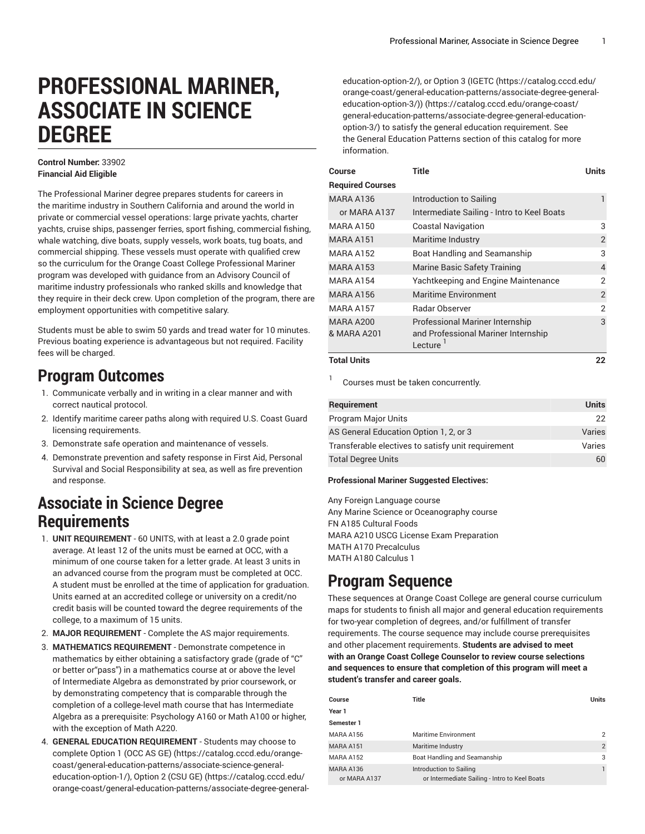# **PROFESSIONAL MARINER, ASSOCIATE IN SCIENCE DEGREE**

#### **Control Number:** 33902 **Financial Aid Eligible**

The Professional Mariner degree prepares students for careers in the maritime industry in Southern California and around the world in private or commercial vessel operations: large private yachts, charter yachts, cruise ships, passenger ferries, sport fishing, commercial fishing, whale watching, dive boats, supply vessels, work boats, tug boats, and commercial shipping. These vessels must operate with qualified crew so the curriculum for the Orange Coast College Professional Mariner program was developed with guidance from an Advisory Council of maritime industry professionals who ranked skills and knowledge that they require in their deck crew. Upon completion of the program, there are employment opportunities with competitive salary.

Students must be able to swim 50 yards and tread water for 10 minutes. Previous boating experience is advantageous but not required. Facility fees will be charged.

## **Program Outcomes**

- 1. Communicate verbally and in writing in a clear manner and with correct nautical protocol.
- 2. Identify maritime career paths along with required U.S. Coast Guard licensing requirements.
- 3. Demonstrate safe operation and maintenance of vessels.
- 4. Demonstrate prevention and safety response in First Aid, Personal Survival and Social Responsibility at sea, as well as fire prevention and response.

### **Associate in Science Degree Requirements**

- 1. **UNIT REQUIREMENT** 60 UNITS, with at least a 2.0 grade point average. At least 12 of the units must be earned at OCC, with a minimum of one course taken for a letter grade. At least 3 units in an advanced course from the program must be completed at OCC. A student must be enrolled at the time of application for graduation. Units earned at an accredited college or university on a credit/no credit basis will be counted toward the degree requirements of the college, to a maximum of 15 units.
- 2. **MAJOR REQUIREMENT** Complete the AS major requirements.
- 3. **MATHEMATICS REQUIREMENT** Demonstrate competence in mathematics by either obtaining a satisfactory grade (grade of "C" or better or"pass") in a mathematics course at or above the level of Intermediate Algebra as demonstrated by prior coursework, or by demonstrating competency that is comparable through the completion of a college-level math course that has Intermediate Algebra as a prerequisite: Psychology A160 or Math A100 or higher, with the exception of Math A220.
- 4. **GENERAL EDUCATION REQUIREMENT** Students may choose to complete [Option 1 \(OCC AS GE\)](https://catalog.cccd.edu/orange-coast/general-education-patterns/associate-science-general-education-option-1/) ([https://catalog.cccd.edu/orange](https://catalog.cccd.edu/orange-coast/general-education-patterns/associate-science-general-education-option-1/)[coast/general-education-patterns/associate-science-general](https://catalog.cccd.edu/orange-coast/general-education-patterns/associate-science-general-education-option-1/)[education-option-1/\)](https://catalog.cccd.edu/orange-coast/general-education-patterns/associate-science-general-education-option-1/), [Option 2 \(CSU GE\)](https://catalog.cccd.edu/orange-coast/general-education-patterns/associate-degree-general-education-option-2/) ([https://catalog.cccd.edu/](https://catalog.cccd.edu/orange-coast/general-education-patterns/associate-degree-general-education-option-2/) [orange-coast/general-education-patterns/associate-degree-general-](https://catalog.cccd.edu/orange-coast/general-education-patterns/associate-degree-general-education-option-2/)

[education-option-2/](https://catalog.cccd.edu/orange-coast/general-education-patterns/associate-degree-general-education-option-2/)), or Option 3 [\(IGETC](https://catalog.cccd.edu/orange-coast/general-education-patterns/associate-degree-general-education-option-3/) ([https://catalog.cccd.edu/](https://catalog.cccd.edu/orange-coast/general-education-patterns/associate-degree-general-education-option-3/) [orange-coast/general-education-patterns/associate-degree-general](https://catalog.cccd.edu/orange-coast/general-education-patterns/associate-degree-general-education-option-3/)[education-option-3/\)\) \(https://catalog.cccd.edu/orange-coast/](https://catalog.cccd.edu/orange-coast/general-education-patterns/associate-degree-general-education-option-3/) [general-education-patterns/associate-degree-general-education](https://catalog.cccd.edu/orange-coast/general-education-patterns/associate-degree-general-education-option-3/)[option-3/](https://catalog.cccd.edu/orange-coast/general-education-patterns/associate-degree-general-education-option-3/)) to satisfy the general education requirement. See the General Education Patterns section of this catalog for more information.

| Course                   | <b>Title</b>                                                                                          | Units          |
|--------------------------|-------------------------------------------------------------------------------------------------------|----------------|
| <b>Required Courses</b>  |                                                                                                       |                |
| MARA A136                | Introduction to Sailing                                                                               | 1              |
| or MARA A137             | Intermediate Sailing - Intro to Keel Boats                                                            |                |
| <b>MARA A150</b>         | <b>Coastal Navigation</b>                                                                             | 3              |
| MARA A151                | Maritime Industry                                                                                     | $\overline{2}$ |
| MARA A152                | Boat Handling and Seamanship                                                                          | 3              |
| MARA A153                | Marine Basic Safety Training                                                                          | $\overline{4}$ |
| <b>MARA A154</b>         | Yachtkeeping and Engine Maintenance                                                                   | $\overline{2}$ |
| <b>MARA A156</b>         | <b>Maritime Environment</b>                                                                           | 2              |
| <b>MARA A157</b>         | <b>Radar Observer</b>                                                                                 | $\overline{2}$ |
| MARA A200<br>& MARA A201 | <b>Professional Mariner Internship</b><br>and Professional Mariner Internship<br>Lecture <sup>'</sup> | 3              |
| Total Unite              |                                                                                                       | າາ             |

#### **Total Units 22**

1

Courses must be taken concurrently.

| Requirement                                        | <b>Units</b> |
|----------------------------------------------------|--------------|
| <b>Program Major Units</b>                         | 22           |
| AS General Education Option 1, 2, or 3             | Varies       |
| Transferable electives to satisfy unit requirement | Varies       |
| <b>Total Degree Units</b>                          | 60           |

#### **Professional Mariner Suggested Electives:**

Any Foreign Language course Any Marine Science or Oceanography course FN A185 Cultural Foods MARA A210 USCG License Exam Preparation MATH A170 Precalculus MATH A180 Calculus 1

### **Program Sequence**

These sequences at Orange Coast College are general course curriculum maps for students to finish all major and general education requirements for two-year completion of degrees, and/or fulfillment of transfer requirements. The course sequence may include course prerequisites and other placement requirements. **Students are advised to meet with an Orange Coast College Counselor to review course selections and sequences to ensure that completion of this program will meet a student's transfer and career goals.**

| Course                    | Title                                                                    | <b>Units</b>   |
|---------------------------|--------------------------------------------------------------------------|----------------|
| Year 1                    |                                                                          |                |
| Semester 1                |                                                                          |                |
| MARA A156                 | <b>Maritime Environment</b>                                              | 2              |
| MARA A151                 | Maritime Industry                                                        | $\overline{2}$ |
| MARA A152                 | Boat Handling and Seamanship                                             | 3              |
| MARA A136<br>or MARA A137 | Introduction to Sailing<br>or Intermediate Sailing - Intro to Keel Boats |                |